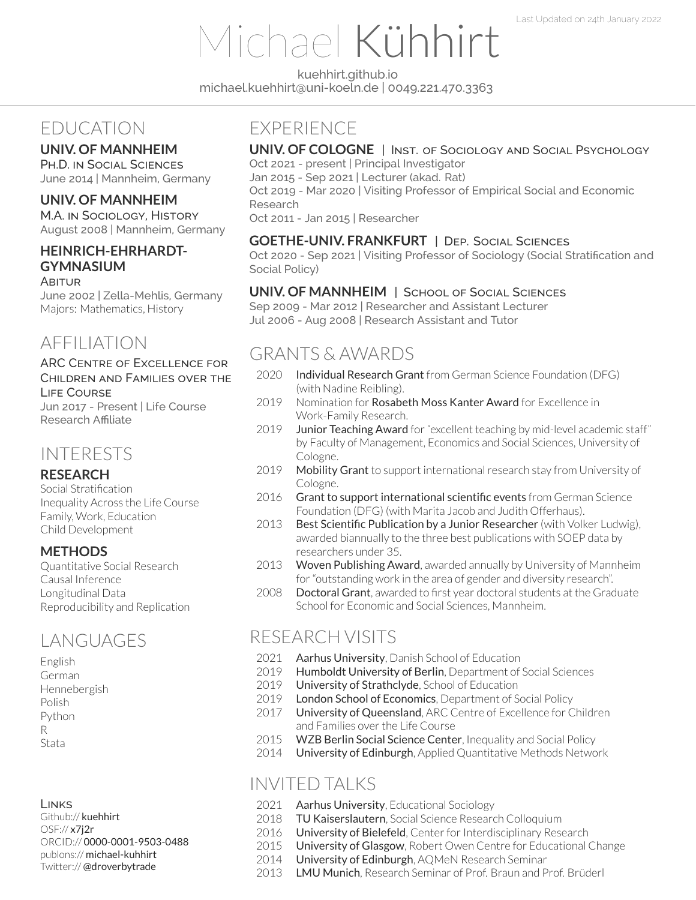# Michael Kühhirt

[kuehhirt.github.io](http://kuehhirt.github.io) [michael.kuehhirt@uni-koeln.de](mailto:michael.kuehhirt@uni-koeln.de) | 0049.221.470.3363

# EDUCATION

## **UNIV. OF MANNHEIM**

PH.D. IN SOCIAL SCIENCES June 2014 | Mannheim, Germany

## **UNIV. OF MANNHEIM**

M.A. IN SOCIOLOGY, HISTORY August 2008 | Mannheim, Germany

## **HEINRICH-EHRHARDT-GYMNASIUM**

#### ABITUR

June 2002 | Zella-Mehlis, Germany Majors: Mathematics, History

# AFFILIATION

### ARC CENTRE OF EXCELLENCE FOR CHILDREN AND FAMILIES OVER THE LIFE COURSE

Jun 2017 - Present | Life Course Research Affiliate

## INTERESTS

## **RESEARCH**

Social Stratification Inequality Across the Life Course Family, Work, Education Child Development

## **METHODS**

Quantitative Social Research Causal Inference Longitudinal Data Reproducibility and Replication

# LANGUAGES

English German Hennebergish Polish Python R Stata

#### LINKS

Github:// [kuehhirt](https://github.com/kuehhirt) OSF:// [x7j2r](https://osf.io/x7j2r) ORCID:// [0000-0001-9503-0488](https://orcid.org/0000-0001-9503-0488) publons:// [michael-kuhhirt](https://publons.com/researcher/1703876/michael-kuhhirt/) Twitter:// [@droverbytrade](https://twitter.com/droverbytrade)

# **EXPERIENCE**

## **UNIV. OF COLOGNE** | INST. OF SOCIOLOGY AND SOCIAL PSYCHOLOGY

Oct 2021 - present | Principal Investigator

Jan 2015 - Sep 2021 | Lecturer (akad. Rat) Oct 2019 - Mar 2020 | Visiting Professor of Empirical Social and Economic

Research

Oct 2011 - Jan 2015 | Researcher

## **GOETHE-UNIV. FRANKFURT** | DEP. SOCIAL SCIENCES

Oct 2020 - Sep 2021 | Visiting Professor of Sociology (Social Stratification and Social Policy)

### **UNIV. OF MANNHEIM** | SCHOOL OF SOCIAL SCIENCES

Sep 2009 - Mar 2012 | Researcher and Assistant Lecturer Jul 2006 - Aug 2008 | Research Assistant and Tutor

# GRANTS & AWARDS

- 2020 Individual Research Grant from German Science Foundation (DFG) (with Nadine Reibling).
- 2019 Nomination for **Rosabeth Moss Kanter Award** for Excellence in Work-Family Research.
- 2019 Junior Teaching Award for "excellent teaching by mid-level academic staff" by Faculty of Management, Economics and Social Sciences, University of Cologne.
- 2019 Mobility Grant to support international research stay from University of Cologne.
- 2016 Grant to support international scientific events from German Science Foundation (DFG) (with Marita Jacob and Judith Offerhaus).
- 2013 Best Scientific Publication by a Junior Researcher (with Volker Ludwig), awarded biannually to the three best publications with SOEP data by researchers under 35.
- 2013 Woven Publishing Award, awarded annually by University of Mannheim for"outstanding work in the area of gender and diversity research".
- 2008 Doctoral Grant, awarded to first year doctoral students at the Graduate School for Economic and Social Sciences, Mannheim.

# RESEARCH VISITS

- 2021 Aarhus University, Danish School of Education
- 2019 Humboldt University of Berlin, Department of Social Sciences
- 2019 University of Strathclyde, School of Education
- 2019 London School of Economics, Department of Social Policy
- 2017 University of Queensland, ARC Centre of Excellence for Children and Families over the Life Course
- 2015 WZB Berlin Social Science Center, Inequality and Social Policy
- 2014 University of Edinburgh, Applied Quantitative Methods Network

## INVITED TALKS

- 2021 Aarhus University, Educational Sociology
- 2018 TU Kaiserslautern, Social Science Research Colloquium
- 2016 University of Bielefeld, Center for Interdisciplinary Research
- 2015 University of Glasgow, Robert Owen Centre for Educational Change
- 2014 University of Edinburgh, AQMeN Research Seminar
- 2013 LMU Munich, Research Seminar of Prof. Braun and Prof. Brüderl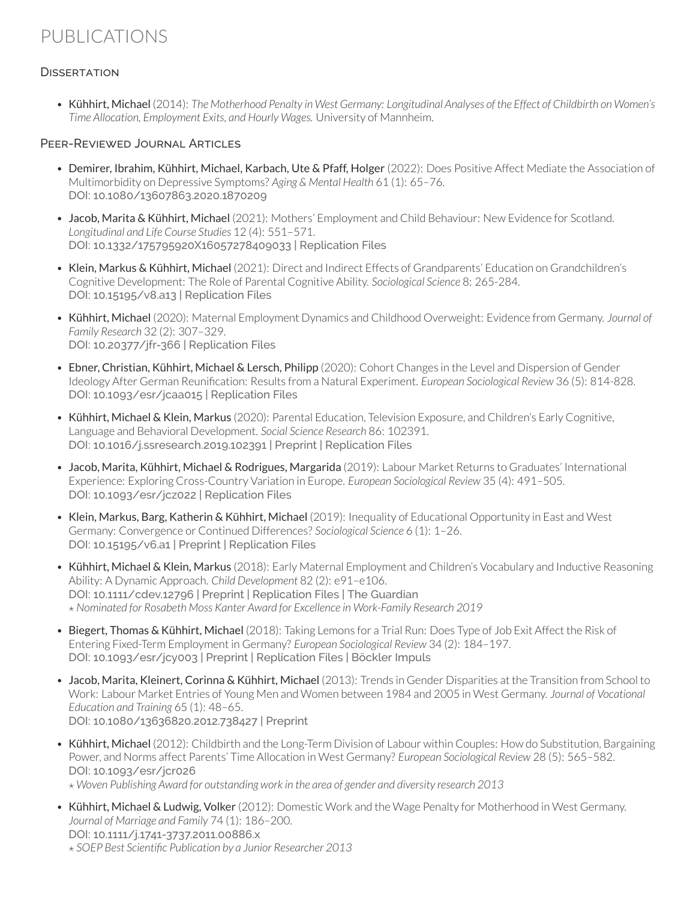# PUBLICATIONS

## **DISSERTATION**

• Kühhirt, Michael (2014): The Motherhood Penalty in West Germany: Longitudinal Analyses of the Effect of Childbirth on Women's *Time Allocation, Employment Exits, and Hourly Wages.* University of Mannheim.

#### PEER-REVIEWED JOURNAL ARTICLES

- Demirer, Ibrahim, Kühhirt, Michael, Karbach, Ute & Pfaff, Holger (2022): Does Positive Affect Mediate the Association of Multimorbidity on Depressive Symptoms? *Aging & Mental Health* 61 (1): 65–76. DOI: [10.1080/13607863.2020.1870209](https://doi.org/10.1080/13607863.2020.1870209)
- Jacob, Marita & Kühhirt, Michael (2021): Mothers' Employment and Child Behaviour: New Evidence for Scotland. *Longitudinal and Life Course Studies* 12 (4): 551–571. DOI: [10.1332/175795920X16057278409033](https://doi.org/10.1332/175795920X16057278409033) | [Replication Files](https://osf.io/4jg6e/)
- Klein, Markus & Kühhirt, Michael (2021): Direct and Indirect Effects of Grandparents' Education on Grandchildren's Cognitive Development: The Role of Parental Cognitive Ability. *Sociological Science* 8: 265-284. DOI: [10.15195/v8.a13](http://dx.doi.org/10.15195/v8.a13) | [Replication Files](https://osf.io/fgv8x/)
- Kühhirt, Michael (2020): Maternal Employment Dynamics and Childhood Overweight: Evidence from Germany. *Journal of Family Research* 32 (2): 307–329. DOI: [10.20377/jfr-366](https://doi.org/10.20377/jfr-366) | [Replication Files](https://osf.io/a4qrg/)
- Ebner, Christian, Kühhirt, Michael & Lersch, Philipp (2020): Cohort Changes in the Level and Dispersion of Gender Ideology After German Reunification: Results from a Natural Experiment. *European Sociological Review* 36 (5): 814-828. DOI: [10.1093/esr/jcaa015](https://academic.oup.com/esr/advance-article/doi/10.1093/esr/jcaa015/5825421?guestAccessKey=753b0df7-7880-4abb-bd5a-23a60b76a910) | [Replication Files](https://doi.org/10.17605/OSF.IO/836VM)
- Kühhirt, Michael & Klein, Markus (2020): Parental Education, Television Exposure, and Children's Early Cognitive, Language and Behavioral Development. *Social Science Research* 86: 102391. DOI: [10.1016/j.ssresearch.2019.102391](https://doi.org/10.1016/j.ssresearch.2019.102391) | [Preprint](https://www.lifecoursecentre.org.au/wp-content/uploads/2018/06/2018-06-LCC-Working-Paper-Kuhhirt-Klein.pdf) | [Replication Files](https://osf.io/4v3dg/)
- Jacob, Marita, Kühhirt, Michael & Rodrigues, Margarida (2019): Labour Market Returns to Graduates' International Experience: Exploring Cross-Country Variation in Europe. *European Sociological Review* 35 (4): 491–505. DOI: [10.1093/esr/jcz022](https://academic.oup.com/esr/advance-article/doi/10.1093/esr/jcz022/5491504?guestAccessKey=0ca76bf9-84f2-466f-9259-7f83bf91ffea) | [Replication Files](https://osf.io/qhzjg/)
- Klein, Markus, Barg, Katherin & Kühhirt, Michael (2019): Inequality of Educational Opportunity in East and West Germany: Convergence or Continued Differences? *Sociological Science* 6 (1): 1–26. DOI: [10.15195/v6.a1](https://doi.org/10.15195/v6.a1) | [Preprint](https://doi.org/10.31235/osf.io/3e9ud) | [Replication Files](https://osf.io/ntgd6/)
- Kühhirt, Michael & Klein, Markus (2018): Early Maternal Employment and Children's Vocabulary and Inductive Reasoning Ability: A Dynamic Approach. *Child Development* 82 (2): e91–e106. DOI: [10.1111/cdev.12796](https://doi.org/10.1111/cdev.12796) | [Preprint](https://osf.io/preprints/socarxiv/brscf) | [Replication Files](https://osf.io/m8trg/) | [The Guardian](https://www.theguardian.com/commentisfree/2018/jul/23/working-mothers-women-in-work-children) *⋆ Nominated for Rosabeth Moss Kanter Award for Excellence in [Work-Family](https://www.purdue.edu/hhs/hdfs/cff/initiatives/kanteraward/nominations/2019kanter/) Research 2019*
- Biegert, Thomas & Kühhirt, Michael (2018): Taking Lemons for a Trial Run: Does Type of Job Exit Affect the Risk of Entering Fixed-Term Employment in Germany? *European Sociological Review* 34 (2): 184–197. DOI: [10.1093/esr/jcy003](https://doi.org/10.1093/esr/jcy003) | [Preprint](https://doi.org/10.31235/osf.io/zuwat) | [Replication Files](https://osf.io/nh5u4/) | [Böckler Impuls](https://www.boeckler.de/114066_114078.htm)
- Jacob, Marita, Kleinert, Corinna & Kühhirt, Michael (2013): Trends in Gender Disparities at the Transition from School to Work: Labour Market Entries of Young Men and Women between 1984 and 2005 in West Germany. *Journal of Vocational Education and Training* 65 (1): 48–65. DOI: [10.1080/13636820.2012.738427](https://doi.org/10.1080/13636820.2012.738427) | [Preprint](http://www.mzes.uni-mannheim.de/publications/wp/wp-127.pdf)
- Kühhirt, Michael (2012): Childbirth and the Long-Term Division of Labour within Couples: How do Substitution, Bargaining Power, and Norms affect Parents' Time Allocation in West Germany? *European Sociological Review* 28 (5): 565–582. DOI: [10.1093/esr/jcr026](https://doi.org/10.1093/esr/jcr026)

*⋆ Woven Publishing Award for [outstanding](https://www.uni-mannheim.de/gleichstellung/finanzierung/preise/#c140406) work in the area of gender and diversity research 2013*

• Kühhirt, Michael & Ludwig, Volker (2012): Domestic Work and the Wage Penalty for Motherhood in West Germany. *Journal of Marriage and Family* 74 (1): 186–200. DOI: [10.1111/j.1741-3737.2011.00886.x](https://doi.org/10.1111/j.1741-3737.2011.00886.x) *⋆ SOEP Best Scientific [Publication](https://www.diw.de/sixcms/detail.php?id=diw_01.c.428179.de) by a Junior Researcher 2013*